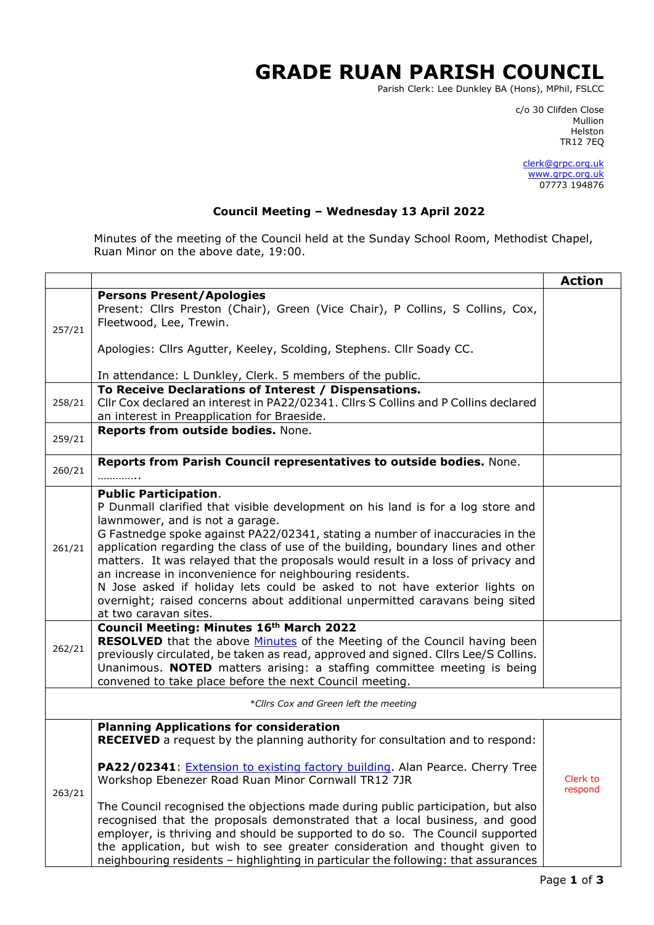## **GRADE RUAN PARISH COUNCIL**

Parish Clerk: Lee Dunkley BA (Hons), MPhil, FSLCC

c/o 30 Clifden Close man and the control of the control of the control of the control of the control of the control of the control o Helston TR12 7EQ

> [clerk@grpc.org.uk](mailto:clerk@grpc.org.uk) [www.grpc.org.uk](http://www.grpc.org.uk/) 07773 194876

## **Council Meeting – Wednesday 13 April 2022**

Minutes of the meeting of the Council held at the Sunday School Room, Methodist Chapel, Ruan Minor on the above date, 19:00.

|                                       |                                                                                                                                                                                                                                                                                                                                                                                                                                                                                                                                                                                                                                                                                                               | <b>Action</b>       |  |  |
|---------------------------------------|---------------------------------------------------------------------------------------------------------------------------------------------------------------------------------------------------------------------------------------------------------------------------------------------------------------------------------------------------------------------------------------------------------------------------------------------------------------------------------------------------------------------------------------------------------------------------------------------------------------------------------------------------------------------------------------------------------------|---------------------|--|--|
| 257/21                                | <b>Persons Present/Apologies</b><br>Present: Cllrs Preston (Chair), Green (Vice Chair), P Collins, S Collins, Cox,<br>Fleetwood, Lee, Trewin.<br>Apologies: Cllrs Agutter, Keeley, Scolding, Stephens. Cllr Soady CC.                                                                                                                                                                                                                                                                                                                                                                                                                                                                                         |                     |  |  |
|                                       | In attendance: L Dunkley, Clerk. 5 members of the public.<br>To Receive Declarations of Interest / Dispensations.                                                                                                                                                                                                                                                                                                                                                                                                                                                                                                                                                                                             |                     |  |  |
| 258/21                                | Cllr Cox declared an interest in PA22/02341. Cllrs S Collins and P Collins declared<br>an interest in Preapplication for Braeside.                                                                                                                                                                                                                                                                                                                                                                                                                                                                                                                                                                            |                     |  |  |
| 259/21                                | Reports from outside bodies. None.                                                                                                                                                                                                                                                                                                                                                                                                                                                                                                                                                                                                                                                                            |                     |  |  |
| 260/21                                | Reports from Parish Council representatives to outside bodies. None.                                                                                                                                                                                                                                                                                                                                                                                                                                                                                                                                                                                                                                          |                     |  |  |
| 261/21                                | <b>Public Participation.</b><br>P Dunmall clarified that visible development on his land is for a log store and<br>lawnmower, and is not a garage.<br>G Fastnedge spoke against PA22/02341, stating a number of inaccuracies in the<br>application regarding the class of use of the building, boundary lines and other<br>matters. It was relayed that the proposals would result in a loss of privacy and<br>an increase in inconvenience for neighbouring residents.<br>N Jose asked if holiday lets could be asked to not have exterior lights on<br>overnight; raised concerns about additional unpermitted caravans being sited<br>at two caravan sites.                                                |                     |  |  |
| 262/21                                | Council Meeting: Minutes 16th March 2022<br><b>RESOLVED</b> that the above <b>Minutes</b> of the Meeting of the Council having been<br>previously circulated, be taken as read, approved and signed. Cllrs Lee/S Collins.<br>Unanimous. NOTED matters arising: a staffing committee meeting is being<br>convened to take place before the next Council meeting.                                                                                                                                                                                                                                                                                                                                               |                     |  |  |
| *Cllrs Cox and Green left the meeting |                                                                                                                                                                                                                                                                                                                                                                                                                                                                                                                                                                                                                                                                                                               |                     |  |  |
| 263/21                                | <b>Planning Applications for consideration</b><br><b>RECEIVED</b> a request by the planning authority for consultation and to respond:<br>PA22/02341: <i>Extension to existing factory building</i> . Alan Pearce. Cherry Tree<br>Workshop Ebenezer Road Ruan Minor Cornwall TR12 7JR<br>The Council recognised the objections made during public participation, but also<br>recognised that the proposals demonstrated that a local business, and good<br>employer, is thriving and should be supported to do so. The Council supported<br>the application, but wish to see greater consideration and thought given to<br>neighbouring residents - highlighting in particular the following: that assurances | Clerk to<br>respond |  |  |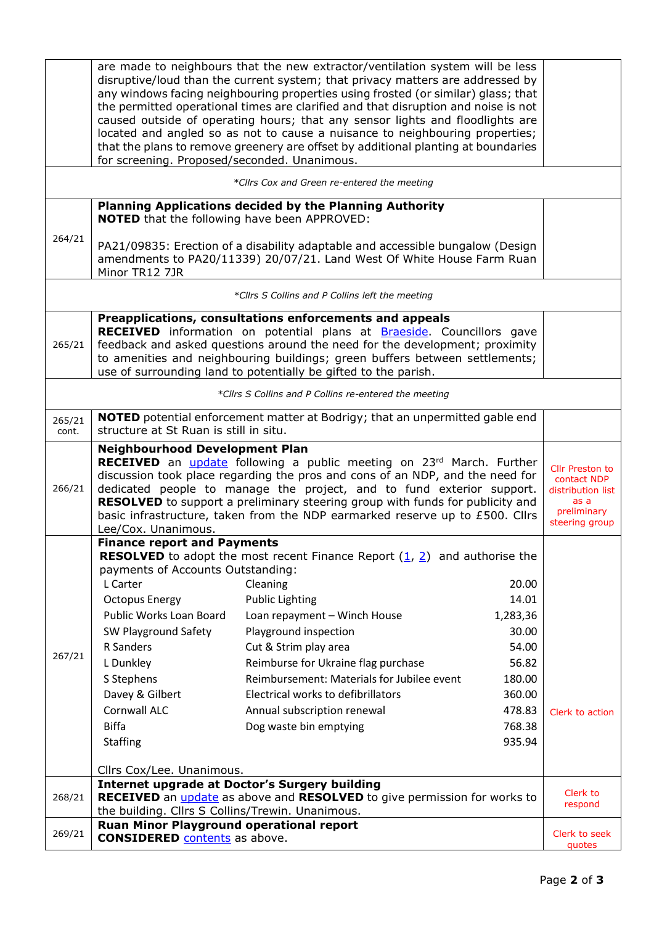|                 | for screening. Proposed/seconded. Unanimous.                                                                                                                                                                                                                                                                                                                                                                                                                                              | are made to neighbours that the new extractor/ventilation system will be less<br>disruptive/loud than the current system; that privacy matters are addressed by<br>any windows facing neighbouring properties using frosted (or similar) glass; that<br>the permitted operational times are clarified and that disruption and noise is not<br>caused outside of operating hours; that any sensor lights and floodlights are<br>located and angled so as not to cause a nuisance to neighbouring properties;<br>that the plans to remove greenery are offset by additional planting at boundaries |                                                                                                         |                                                                                                     |  |  |
|-----------------|-------------------------------------------------------------------------------------------------------------------------------------------------------------------------------------------------------------------------------------------------------------------------------------------------------------------------------------------------------------------------------------------------------------------------------------------------------------------------------------------|--------------------------------------------------------------------------------------------------------------------------------------------------------------------------------------------------------------------------------------------------------------------------------------------------------------------------------------------------------------------------------------------------------------------------------------------------------------------------------------------------------------------------------------------------------------------------------------------------|---------------------------------------------------------------------------------------------------------|-----------------------------------------------------------------------------------------------------|--|--|
|                 |                                                                                                                                                                                                                                                                                                                                                                                                                                                                                           | *Cllrs Cox and Green re-entered the meeting                                                                                                                                                                                                                                                                                                                                                                                                                                                                                                                                                      |                                                                                                         |                                                                                                     |  |  |
|                 | <b>NOTED</b> that the following have been APPROVED:                                                                                                                                                                                                                                                                                                                                                                                                                                       | Planning Applications decided by the Planning Authority                                                                                                                                                                                                                                                                                                                                                                                                                                                                                                                                          |                                                                                                         |                                                                                                     |  |  |
| 264/21          | Minor TR12 7JR                                                                                                                                                                                                                                                                                                                                                                                                                                                                            | PA21/09835: Erection of a disability adaptable and accessible bungalow (Design<br>amendments to PA20/11339) 20/07/21. Land West Of White House Farm Ruan                                                                                                                                                                                                                                                                                                                                                                                                                                         |                                                                                                         |                                                                                                     |  |  |
|                 |                                                                                                                                                                                                                                                                                                                                                                                                                                                                                           | *Cllrs S Collins and P Collins left the meeting                                                                                                                                                                                                                                                                                                                                                                                                                                                                                                                                                  |                                                                                                         |                                                                                                     |  |  |
|                 |                                                                                                                                                                                                                                                                                                                                                                                                                                                                                           | Preapplications, consultations enforcements and appeals                                                                                                                                                                                                                                                                                                                                                                                                                                                                                                                                          |                                                                                                         |                                                                                                     |  |  |
| 265/21          |                                                                                                                                                                                                                                                                                                                                                                                                                                                                                           | <b>RECEIVED</b> information on potential plans at <b>Braeside</b> . Councillors gave<br>feedback and asked questions around the need for the development; proximity<br>to amenities and neighbouring buildings; green buffers between settlements;<br>use of surrounding land to potentially be gifted to the parish.                                                                                                                                                                                                                                                                            |                                                                                                         |                                                                                                     |  |  |
|                 | *Cllrs S Collins and P Collins re-entered the meeting                                                                                                                                                                                                                                                                                                                                                                                                                                     |                                                                                                                                                                                                                                                                                                                                                                                                                                                                                                                                                                                                  |                                                                                                         |                                                                                                     |  |  |
| 265/21<br>cont. | structure at St Ruan is still in situ.                                                                                                                                                                                                                                                                                                                                                                                                                                                    | <b>NOTED</b> potential enforcement matter at Bodrigy; that an unpermitted gable end                                                                                                                                                                                                                                                                                                                                                                                                                                                                                                              |                                                                                                         |                                                                                                     |  |  |
| 266/21          | <b>Neighbourhood Development Plan</b><br>RECEIVED an <i>update</i> following a public meeting on 23 <sup>rd</sup> March. Further<br>discussion took place regarding the pros and cons of an NDP, and the need for<br>dedicated people to manage the project, and to fund exterior support.<br><b>RESOLVED</b> to support a preliminary steering group with funds for publicity and<br>basic infrastructure, taken from the NDP earmarked reserve up to £500. Cllrs<br>Lee/Cox. Unanimous. |                                                                                                                                                                                                                                                                                                                                                                                                                                                                                                                                                                                                  |                                                                                                         | <b>Cllr Preston to</b><br>contact NDP<br>distribution list<br>as a<br>preliminary<br>steering group |  |  |
| 267/21          | <b>Finance report and Payments</b><br>payments of Accounts Outstanding:<br>L Carter<br><b>Octopus Energy</b><br>Public Works Loan Board<br>SW Playground Safety<br>R Sanders<br>L Dunkley<br>S Stephens<br>Davey & Gilbert<br>Cornwall ALC<br><b>Biffa</b><br><b>Staffing</b><br>Cllrs Cox/Lee. Unanimous.                                                                                                                                                                                | <b>RESOLVED</b> to adopt the most recent Finance Report $(1, 2)$ and authorise the<br>Cleaning<br><b>Public Lighting</b><br>Loan repayment - Winch House<br>Playground inspection<br>Cut & Strim play area<br>Reimburse for Ukraine flag purchase<br>Reimbursement: Materials for Jubilee event<br>Electrical works to defibrillators<br>Annual subscription renewal<br>Dog waste bin emptying                                                                                                                                                                                                   | 20.00<br>14.01<br>1,283,36<br>30.00<br>54.00<br>56.82<br>180.00<br>360.00<br>478.83<br>768.38<br>935.94 | Clerk to action                                                                                     |  |  |
| 268/21          |                                                                                                                                                                                                                                                                                                                                                                                                                                                                                           | <b>Internet upgrade at Doctor's Surgery building</b><br><b>RECEIVED</b> an <i>update</i> as above and <b>RESOLVED</b> to give permission for works to                                                                                                                                                                                                                                                                                                                                                                                                                                            |                                                                                                         | Clerk to                                                                                            |  |  |
|                 | the building. Cllrs S Collins/Trewin. Unanimous.                                                                                                                                                                                                                                                                                                                                                                                                                                          |                                                                                                                                                                                                                                                                                                                                                                                                                                                                                                                                                                                                  |                                                                                                         | respond                                                                                             |  |  |
| 269/21          | Ruan Minor Playground operational report<br><b>CONSIDERED</b> contents as above.                                                                                                                                                                                                                                                                                                                                                                                                          |                                                                                                                                                                                                                                                                                                                                                                                                                                                                                                                                                                                                  |                                                                                                         | Clerk to seek<br>quotes                                                                             |  |  |